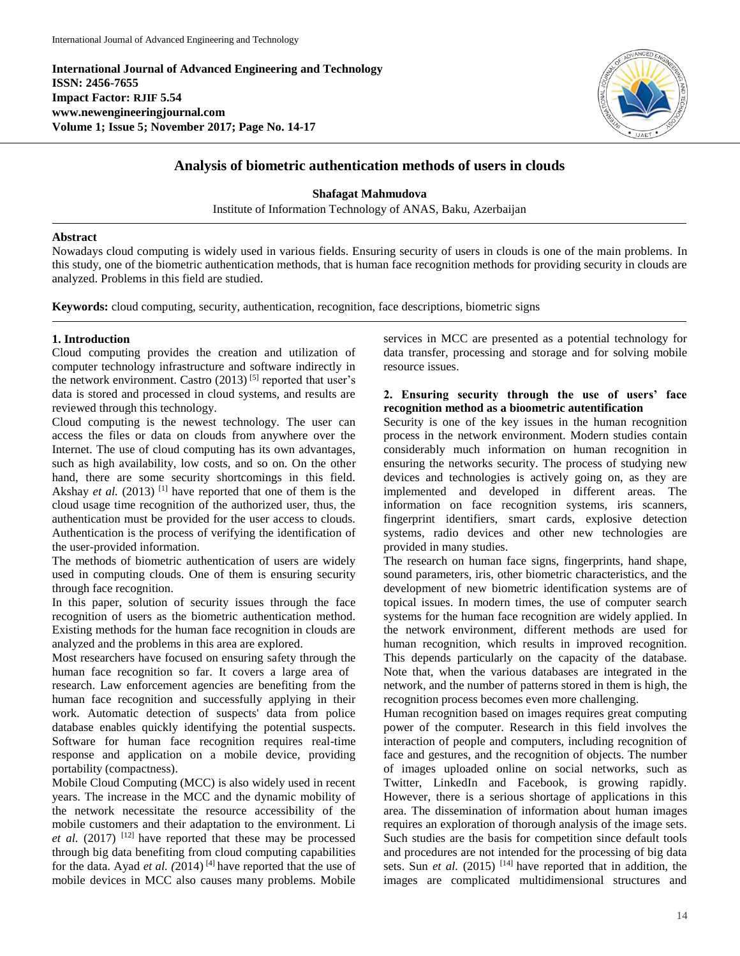**International Journal of Advanced Engineering and Technology ISSN: 2456-7655 Impact Factor: RJIF 5.54 www.newengineeringjournal.com Volume 1; Issue 5; November 2017; Page No. 14-17**



# **Analysis of biometric authentication methods of users in clouds**

**Shafagat Mahmudova**

Institute of Information Technology of ANAS, Baku, Azerbaijan

#### **Abstract**

Nowadays cloud computing is widely used in various fields. Ensuring security of users in clouds is one of the main problems. In this study, one of the biometric authentication methods, that is human face recognition methods for providing security in clouds are analyzed. Problems in this field are studied.

**Keywords:** cloud computing, security, authentication, recognition, face descriptions, biometric signs

# **1. Introduction**

Cloud computing provides the creation and utilization of computer technology infrastructure and software indirectly in the network environment. Castro  $(2013)$ <sup>[5]</sup> reported that user's data is stored and processed in cloud systems, and results are reviewed through this technology.

Cloud computing is the newest technology. The user can access the files or data on clouds from anywhere over the Internet. The use of cloud computing has its own advantages, such as high availability, low costs, and so on. On the other hand, there are some security shortcomings in this field. Akshay *et al.* (2013) <sup>[1]</sup> have reported that one of them is the cloud usage time recognition of the authorized user, thus, the authentication must be provided for the user access to clouds. Authentication is the process of verifying the identification of the user-provided information.

The methods of biometric authentication of users are widely used in computing clouds. One of them is ensuring security through face recognition.

In this paper, solution of security issues through the face recognition of users as the biometric authentication method. Existing methods for the human face recognition in clouds are analyzed and the problems in this area are explored.

Most researchers have focused on ensuring safety through the human face recognition so far. It covers a large area of research. Law enforcement agencies are benefiting from the human face recognition and successfully applying in their work. Automatic detection of suspects' data from police database enables quickly identifying the potential suspects. Software for human face recognition requires real-time response and application on a mobile device, providing portability (compactness).

Mobile Cloud Computing (MCC) is also widely used in recent years. The increase in the MCC and the dynamic mobility of the network necessitate the resource accessibility of the mobile customers and their adaptation to the environment. Li *et al.* (2017)  $[12]$  have reported that these may be processed through big data benefiting from cloud computing capabilities for the data. Ayad *et al. (*2014) [4] have reported that the use of mobile devices in MCC also causes many problems. Mobile services in MCC are presented as a potential technology for data transfer, processing and storage and for solving mobile resource issues.

### **2. Ensuring security through the use of users' face recognition method as a bioometric autentification**

Security is one of the key issues in the human recognition process in the network environment. Modern studies contain considerably much information on human recognition in ensuring the networks security. The process of studying new devices and technologies is actively going on, as they are implemented and developed in different areas. The information on face recognition systems, iris scanners, fingerprint identifiers, smart cards, explosive detection systems, radio devices and other new technologies are provided in many studies.

The research on human face signs, fingerprints, hand shape, sound parameters, iris, other biometric characteristics, and the development of new biometric identification systems are of topical issues. In modern times, the use of computer search systems for the human face recognition are widely applied. In the network environment, different methods are used for human recognition, which results in improved recognition. This depends particularly on the capacity of the database. Note that, when the various databases are integrated in the network, and the number of patterns stored in them is high, the recognition process becomes even more challenging.

Human recognition based on images requires great computing power of the computer. Research in this field involves the interaction of people and computers, including recognition of face and gestures, and the recognition of objects. The number of images uploaded online on social networks, such as Twitter, LinkedIn and Facebook, is growing rapidly. However, there is a serious shortage of applications in this area. The dissemination of information about human images requires an exploration of thorough analysis of the image sets. Such studies are the basis for competition since default tools and procedures are not intended for the processing of big data sets. Sun *et al.* (2015) <sup>[14]</sup> have reported that in addition, the images are complicated multidimensional structures and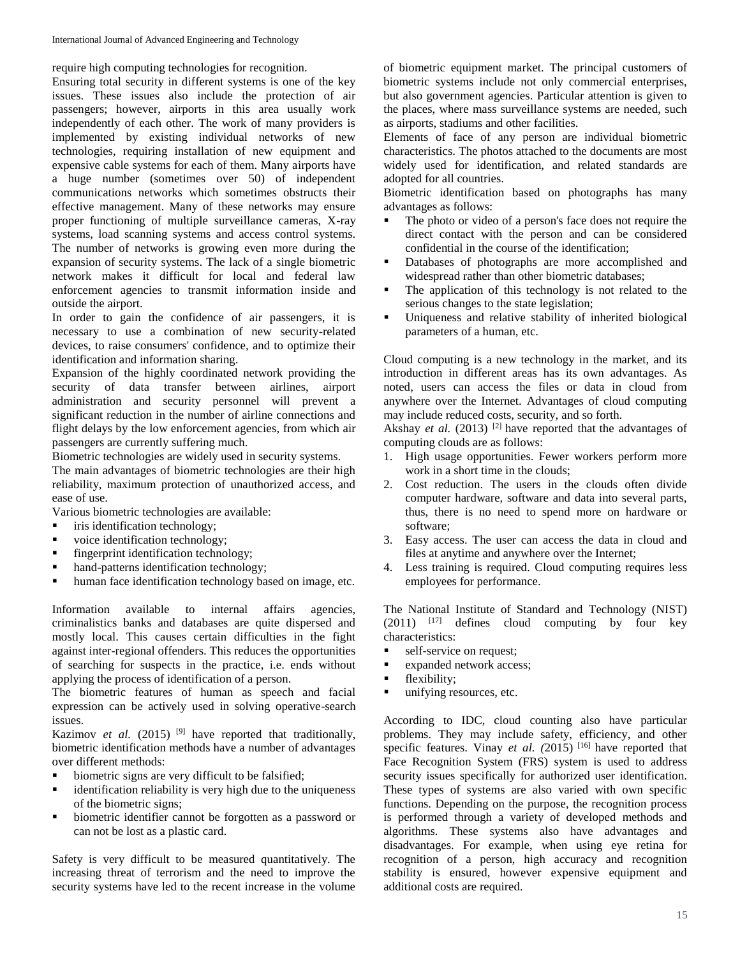require high computing technologies for recognition.

Ensuring total security in different systems is one of the key issues. These issues also include the protection of air passengers; however, airports in this area usually work independently of each other. The work of many providers is implemented by existing individual networks of new technologies, requiring installation of new equipment and expensive cable systems for each of them. Many airports have a huge number (sometimes over 50) of independent communications networks which sometimes obstructs their effective management. Many of these networks may ensure proper functioning of multiple surveillance cameras, X-ray systems, load scanning systems and access control systems. The number of networks is growing even more during the expansion of security systems. The lack of a single biometric network makes it difficult for local and federal law enforcement agencies to transmit information inside and outside the airport.

In order to gain the confidence of air passengers, it is necessary to use a combination of new security-related devices, to raise consumers' confidence, and to optimize their identification and information sharing.

Expansion of the highly coordinated network providing the security of data transfer between airlines, airport administration and security personnel will prevent a significant reduction in the number of airline connections and flight delays by the low enforcement agencies, from which air passengers are currently suffering much.

Biometric technologies are widely used in security systems.

The main advantages of biometric technologies are their high reliability, maximum protection of unauthorized access, and ease of use.

Various biometric technologies are available:

- $\blacksquare$  iris identification technology;
- voice identification technology;
- $\blacksquare$  fingerprint identification technology;
- hand-patterns identification technology;
- human face identification technology based on image, etc.

Information available to internal affairs agencies, criminalistics banks and databases are quite dispersed and mostly local. This causes certain difficulties in the fight against inter-regional offenders. This reduces the opportunities of searching for suspects in the practice, i.e. ends without applying the process of identification of a person.

The biometric features of human as speech and facial expression can be actively used in solving operative-search issues.

Kazimov *et al.* (2015)<sup>[9]</sup> have reported that traditionally, biometric identification methods have a number of advantages over different methods:

- biometric signs are very difficult to be falsified;
- identification reliability is very high due to the uniqueness of the biometric signs;
- biometric identifier cannot be forgotten as a password or can not be lost as a plastic card.

Safety is very difficult to be measured quantitatively. The increasing threat of terrorism and the need to improve the security systems have led to the recent increase in the volume

of biometric equipment market. The principal customers of biometric systems include not only commercial enterprises, but also government agencies. Particular attention is given to the places, where mass surveillance systems are needed, such as airports, stadiums and other facilities.

Elements of face of any person are individual biometric characteristics. The photos attached to the documents are most widely used for identification, and related standards are adopted for all countries.

Biometric identification based on photographs has many advantages as follows:

- The photo or video of a person's face does not require the direct contact with the person and can be considered confidential in the course of the identification;
- Databases of photographs are more accomplished and widespread rather than other biometric databases;
- The application of this technology is not related to the serious changes to the state legislation;
- Uniqueness and relative stability of inherited biological parameters of a human, etc.

Cloud computing is a new technology in the market, and its introduction in different areas has its own advantages. As noted, users can access the files or data in cloud from anywhere over the Internet. Advantages of cloud computing may include reduced costs, security, and so forth.

Akshay *et al.* (2013) <sup>[2]</sup> have reported that the advantages of computing clouds are as follows:

- 1. High usage opportunities. Fewer workers perform more work in a short time in the clouds;
- 2. Cost reduction. The users in the clouds often divide computer hardware, software and data into several parts, thus, there is no need to spend more on hardware or software;
- 3. Easy access. The user can access the data in cloud and files at anytime and anywhere over the Internet;
- 4. Less training is required. Cloud computing requires less employees for performance.

The National Institute of Standard and Technology (NIST)  $(2011)$   $[17]$  defines cloud computing by four key characteristics:

- self-service on request;
- expanded network access;
- **flexibility;**
- unifying resources, etc.

According to IDC, cloud counting also have particular problems. They may include safety, efficiency, and other specific features. Vinay *et al. (*2015) [16] have reported that Face Recognition System (FRS) system is used to address security issues specifically for authorized user identification. These types of systems are also varied with own specific functions. Depending on the purpose, the recognition process is performed through a variety of developed methods and algorithms. These systems also have advantages and disadvantages. For example, when using eye retina for recognition of a person, high accuracy and recognition stability is ensured, however expensive equipment and additional costs are required.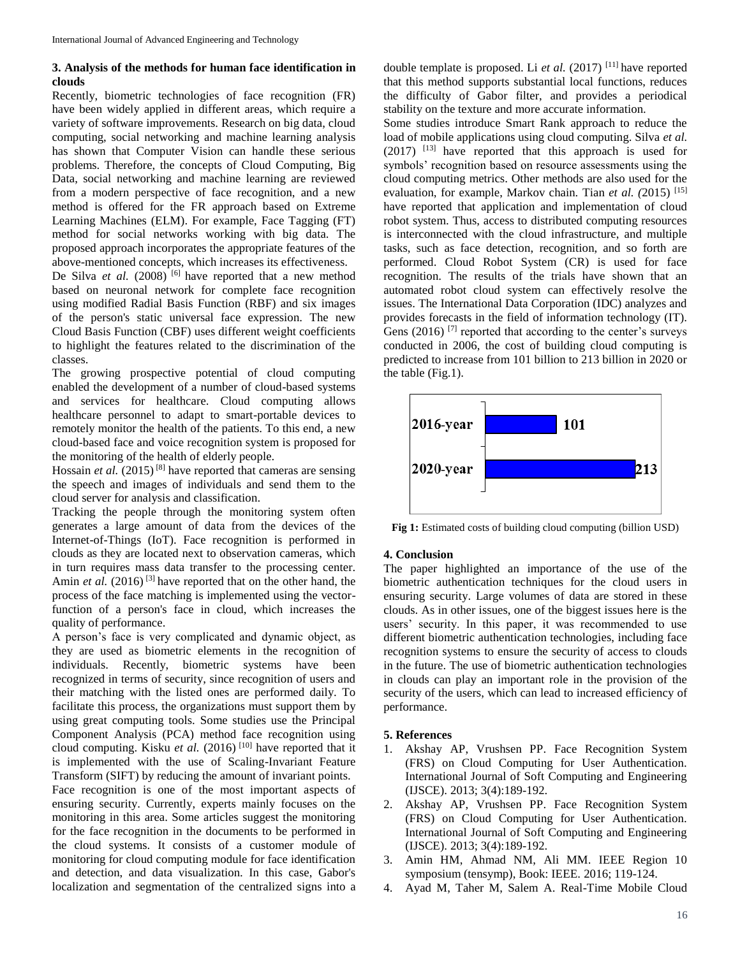# **3. Analysis of the methods for human face identification in clouds**

Recently, biometric technologies of face recognition (FR) have been widely applied in different areas, which require a variety of software improvements. Research on big data, cloud computing, social networking and machine learning analysis has shown that Computer Vision can handle these serious problems. Therefore, the concepts of Cloud Computing, Big Data, social networking and machine learning are reviewed from a modern perspective of face recognition, and a new method is offered for the FR approach based on Extreme Learning Machines (ELM). For example, Face Tagging (FT) method for social networks working with big data. The proposed approach incorporates the appropriate features of the above-mentioned concepts, which increases its effectiveness.

De Silva *et al.* (2008) <sup>[6]</sup> have reported that a new method based on neuronal network for complete face recognition using modified Radial Basis Function (RBF) and six images of the person's static universal face expression. The new Cloud Basis Function (CBF) uses different weight coefficients to highlight the features related to the discrimination of the classes.

The growing prospective potential of cloud computing enabled the development of a number of cloud-based systems and services for healthcare. Cloud computing allows healthcare personnel to adapt to smart-portable devices to remotely monitor the health of the patients. To this end, a new cloud-based face and voice recognition system is proposed for the monitoring of the health of elderly people.

Hossain *et al.* (2015)<sup>[8]</sup> have reported that cameras are sensing the speech and images of individuals and send them to the cloud server for analysis and classification.

Tracking the people through the monitoring system often generates a large amount of data from the devices of the Internet-of-Things (IoT). Face recognition is performed in clouds as they are located next to observation cameras, which in turn requires mass data transfer to the processing center. Amin *et al.* (2016)<sup>[3]</sup> have reported that on the other hand, the process of the face matching is implemented using the vectorfunction of a person's face in cloud, which increases the quality of performance.

A person's face is very complicated and dynamic object, as they are used as biometric elements in the recognition of individuals. Recently, biometric systems have been recognized in terms of security, since recognition of users and their matching with the listed ones are performed daily. To facilitate this process, the organizations must support them by using great computing tools. Some studies use the Principal Component Analysis (PCA) method face recognition using cloud computing. Kisku *et al.* (2016)<sup>[10]</sup> have reported that it is implemented with the use of Scaling-Invariant Feature Transform (SIFT) by reducing the amount of invariant points. Face recognition is one of the most important aspects of ensuring security. Currently, experts mainly focuses on the monitoring in this area. Some articles suggest the monitoring for the face recognition in the documents to be performed in the cloud systems. It consists of a customer module of monitoring for cloud computing module for face identification and detection, and data visualization. In this case, Gabor's localization and segmentation of the centralized signs into a

double template is proposed. Li *et al.* (2017) [11] have reported that this method supports substantial local functions, reduces the difficulty of Gabor filter, and provides a periodical stability on the texture and more accurate information.

Some studies introduce Smart Rank approach to reduce the load of mobile applications using cloud computing. Silva *et al.* (2017) [13] have reported that this approach is used for symbols' recognition based on resource assessments using the cloud computing metrics. Other methods are also used for the evaluation, for example, Markov chain. Tian *et al. (*2015) [15] have reported that application and implementation of cloud robot system. Thus, access to distributed computing resources is interconnected with the cloud infrastructure, and multiple tasks, such as face detection, recognition, and so forth are performed. Cloud Robot System (CR) is used for face recognition. The results of the trials have shown that an automated robot cloud system can effectively resolve the issues. The International Data Corporation (IDC) analyzes and provides forecasts in the field of information technology (IT). Gens  $(2016)$ <sup>[7]</sup> reported that according to the center's surveys conducted in 2006, the cost of building cloud computing is predicted to increase from 101 billion to 213 billion in 2020 or the table (Fig.1).



**Fig 1:** Estimated costs of building cloud computing (billion USD)

### **4. Conclusion**

The paper highlighted an importance of the use of the biometric authentication techniques for the cloud users in ensuring security. Large volumes of data are stored in these clouds. As in other issues, one of the biggest issues here is the users' security. In this paper, it was recommended to use different biometric authentication technologies, including face recognition systems to ensure the security of access to clouds in the future. The use of biometric authentication technologies in clouds can play an important role in the provision of the security of the users, which can lead to increased efficiency of performance.

### **5. References**

- 1. Akshay AP, Vrushsen PP. Face Recognition System (FRS) on Cloud Computing for User Authentication. International Journal of Soft Computing and Engineering (IJSCE). 2013; 3(4):189-192.
- 2. Akshay AP, Vrushsen PP. Face Recognition System (FRS) on Cloud Computing for User Authentication. International Journal of Soft Computing and Engineering (IJSCE). 2013; 3(4):189-192.
- 3. Amin HM, Ahmad NM, Ali MM. IEEE Region 10 symposium (tensymp), Book: IEEE. 2016; 119-124.
- 4. Ayad M, Taher M, Salem A. Real-Time Mobile Cloud